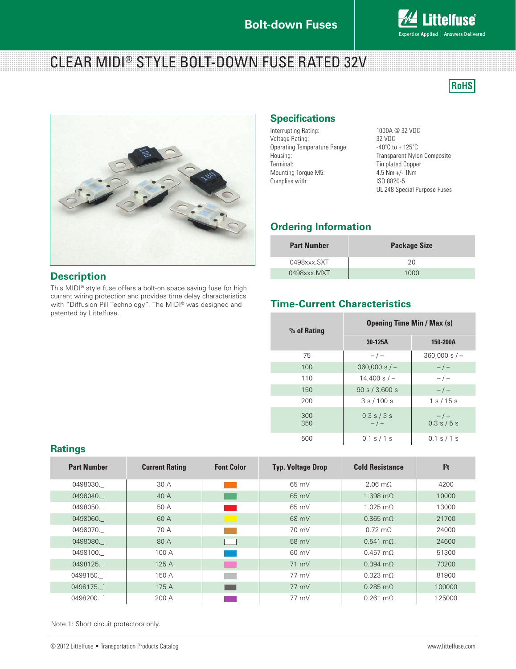## **Bolt-down Fuses**



# CLEAR MIDI® STYLE BOLT-DOWN FUSE RATED 32V

**RoHS** 



### **Description**

**Ratings**

This MIDI® style fuse offers a bolt-on space saving fuse for high current wiring protection and provides time delay characteristics with "Diffusion Pill Technology". The MIDI® was designed and patented by Littelfuse.

### **Specifications**

Interrupting Rating: 1000A @ 32 VDC<br>Voltage Rating: 1000A @ 32 VDC Voltage Rating:  $32 \text{ VDC}$ <br>Operating Temperature Range:  $-40^{\circ}$ C to + 125<sup>°</sup>C Operating Temperature Range:<br>Housing: Terminal: Tin plated Copper<br>
Mounting Torque M5: 4.5 Nm +/-1Nm Mounting Torque M5: 4.5 Nm +/-1<br>Complies with: 1NM 1SO 8820-5 Complies with:

Transparent Nylon Composite UL 248 Special Purpose Fuses

# **Ordering Information**

| <b>Part Number</b> | <b>Package Size</b> |  |
|--------------------|---------------------|--|
| 0498xxx.SXT        | 20                  |  |
| 0498xxx.MXT        | 1000                |  |

## **Time-Current Characteristics**

| % of Rating | <b>Opening Time Min / Max (s)</b> |                      |  |  |
|-------------|-----------------------------------|----------------------|--|--|
|             | 30-125A                           | 150-200A             |  |  |
| 75          | $-/-$                             | $360,000 s/-$        |  |  |
| 100         | $360,000 s/-$                     | $-/-$                |  |  |
| 110         | $14.400$ s $/ -$                  | $-/-$                |  |  |
| 150         | 90 s / 3,600 s                    | $-/-$                |  |  |
| 200         | 3s/100s                           | 1 s / 15 s           |  |  |
| 300<br>350  | $0.3$ s $/3$ s<br>$-/-$           | $-/-$<br>0.3 s / 5 s |  |  |
| 500         | 0.1 s / 1 s                       | 0.1 s / 1 s          |  |  |

| <b>Part Number</b> | <b>Current Rating</b> | <b>Font Color</b> | <b>Typ. Voltage Drop</b> | <b>Cold Resistance</b> | l <sup>2</sup> t |
|--------------------|-----------------------|-------------------|--------------------------|------------------------|------------------|
| 0498030.           | 30 A                  |                   | $65 \text{ mV}$          | $2.06 \text{ m}$       | 4200             |
| 0498040.           | 40 A                  |                   | $65 \text{ mV}$          | $1.398$ m $\Omega$     | 10000            |
| 0498050.           | 50 A                  |                   | 65 mV                    | $1.025 \text{ m}$      | 13000            |
| 0498060.           | 60 A                  | - 1               | 68 mV                    | $0.865$ m $\Omega$     | 21700            |
| 0498070.           | 70 A                  |                   | 70 mV                    | $0.72 \text{ m}$       | 24000            |
| 0498080.           | 80 A                  |                   | 58 mV                    | $0.541$ m $\Omega$     | 24600            |
| 0498100.           | 100A                  |                   | 60 mV                    | $0.457 \text{ m}$      | 51300            |
| 0498125.           | 125 A                 | <b>The Co</b>     | 71 mV                    | $0.394$ m $\Omega$     | 73200            |
| 0498150. 1         | 150 A                 |                   | 77 mV                    | $0.323 \text{ m}$      | 81900            |
| 0498175.1          | 175 A                 |                   | 77 mV                    | $0.285 \text{ m}$      | 100000           |
| 0498200. 1         | 200A                  |                   | 77 mV                    | $0.261$ m $\Omega$     | 125000           |

Note 1: Short circuit protectors only.